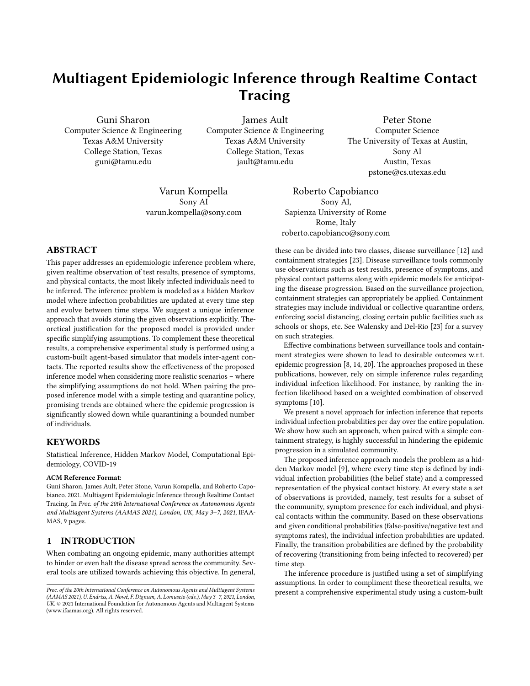# Multiagent Epidemiologic Inference through Realtime Contact **Tracing**

Guni Sharon Computer Science & Engineering Texas A&M University College Station, Texas guni@tamu.edu

James Ault Computer Science & Engineering Texas A&M University College Station, Texas jault@tamu.edu

Peter Stone Computer Science The University of Texas at Austin, Sony AI Austin, Texas pstone@cs.utexas.edu

Varun Kompella Sony AI varun.kompella@sony.com

Roberto Capobianco Sony AI, Sapienza University of Rome Rome, Italy roberto.capobianco@sony.com

## ABSTRACT

This paper addresses an epidemiologic inference problem where, given realtime observation of test results, presence of symptoms, and physical contacts, the most likely infected individuals need to be inferred. The inference problem is modeled as a hidden Markov model where infection probabilities are updated at every time step and evolve between time steps. We suggest a unique inference approach that avoids storing the given observations explicitly. Theoretical justification for the proposed model is provided under specific simplifying assumptions. To complement these theoretical results, a comprehensive experimental study is performed using a custom-built agent-based simulator that models inter-agent contacts. The reported results show the effectiveness of the proposed inference model when considering more realistic scenarios – where the simplifying assumptions do not hold. When pairing the proposed inference model with a simple testing and quarantine policy, promising trends are obtained where the epidemic progression is significantly slowed down while quarantining a bounded number of individuals.

## KEYWORDS

Statistical Inference, Hidden Markov Model, Computational Epidemiology, COVID-19

#### ACM Reference Format:

Guni Sharon, James Ault, Peter Stone, Varun Kompella, and Roberto Capobianco. 2021. Multiagent Epidemiologic Inference through Realtime Contact Tracing. In Proc. of the 20th International Conference on Autonomous Agents and Multiagent Systems (AAMAS 2021), London, UK, May 3–7, 2021, IFAA-MAS, [9](#page-8-0) pages.

## 1 INTRODUCTION

When combating an ongoing epidemic, many authorities attempt to hinder or even halt the disease spread across the community. Several tools are utilized towards achieving this objective. In general,

these can be divided into two classes, disease surveillance [\[12\]](#page-7-0) and containment strategies [\[23\]](#page-8-1). Disease surveillance tools commonly use observations such as test results, presence of symptoms, and physical contact patterns along with epidemic models for anticipating the disease progression. Based on the surveillance projection, containment strategies can appropriately be applied. Containment strategies may include individual or collective quarantine orders, enforcing social distancing, closing certain public facilities such as schools or shops, etc. See Walensky and Del-Rio [\[23\]](#page-8-1) for a survey on such strategies.

Effective combinations between surveillance tools and containment strategies were shown to lead to desirable outcomes w.r.t. epidemic progression [\[8,](#page-7-1) [14,](#page-7-2) [20\]](#page-8-2). The approaches proposed in these publications, however, rely on simple inference rules regarding individual infection likelihood. For instance, by ranking the infection likelihood based on a weighted combination of observed symptoms [\[10\]](#page-7-3).

We present a novel approach for infection inference that reports individual infection probabilities per day over the entire population. We show how such an approach, when paired with a simple containment strategy, is highly successful in hindering the epidemic progression in a simulated community.

The proposed inference approach models the problem as a hidden Markov model [\[9\]](#page-7-4), where every time step is defined by individual infection probabilities (the belief state) and a compressed representation of the physical contact history. At every state a set of observations is provided, namely, test results for a subset of the community, symptom presence for each individual, and physical contacts within the community. Based on these observations and given conditional probabilities (false-positive/negative test and symptoms rates), the individual infection probabilities are updated. Finally, the transition probabilities are defined by the probability of recovering (transitioning from being infected to recovered) per time step.

The inference procedure is justified using a set of simplifying assumptions. In order to compliment these theoretical results, we present a comprehensive experimental study using a custom-built

Proc. of the 20th International Conference on Autonomous Agents and Multiagent Systems (AAMAS 2021), U. Endriss, A. Nowé, F. Dignum, A. Lomuscio (eds.), May 3–7, 2021, London, UK. © 2021 International Foundation for Autonomous Agents and Multiagent Systems (www.ifaamas.org). All rights reserved.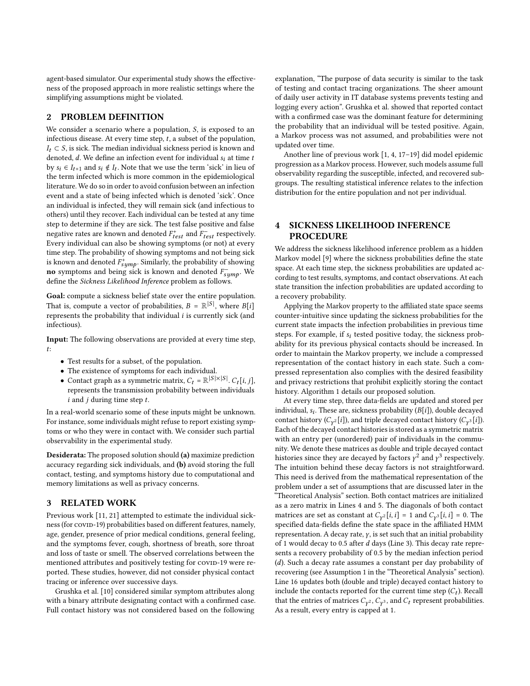agent-based simulator. Our experimental study shows the effectiveness of the proposed approach in more realistic settings where the simplifying assumptions might be violated.

#### 2 PROBLEM DEFINITION

We consider a scenario where a population,  $S$ , is exposed to an infectious disease. At every time step,  $t$ , a subset of the population,  $I_t \subset S$ , is sick. The median individual sickness period is known and denoted,  $d$ . We define an infection event for individual  $s_i$  at time  $t$ by  $s_i \in I_{t+1}$  and  $s_i \notin I_t$ . Note that we use the term 'sick' in lieu of the term infected which is more common in the epidemiological literature. We do so in order to avoid confusion between an infection event and a state of being infected which is denoted 'sick'. Once an individual is infected, they will remain sick (and infectious to others) until they recover. Each individual can be tested at any time step to determine if they are sick. The test false positive and false negative rates are known and denoted  $F_{test}^+$  and  $F_{test}^-$  respectively. Every individual can also be showing symptoms (or not) at every time step. The probability of showing symptoms and not being sick is known and denoted  $F_{sump}^+$ . Similarly, the probability of showing no symptoms and being sick is known and denoted  $F_{sump}$ . We define the Sickness Likelihood Inference problem as follows.

Goal: compute a sickness belief state over the entire population. That is, compute a vector of probabilities,  $B = \mathbb{R}^{|S|}$ , where  $B[i]$ represents the probability that individual  $i$  is currently sick (and infectious).

Input: The following observations are provided at every time step, :

- Test results for a subset, of the population.
- The existence of symptoms for each individual.
- Contact graph as a symmetric matrix,  $C_t = \mathbb{R}^{|S| \times |S|}$ .  $C_t[i, j]$ , represents the transmission probability between individuals  $i$  and  $j$  during time step  $t$ .

In a real-world scenario some of these inputs might be unknown. For instance, some individuals might refuse to report existing symptoms or who they were in contact with. We consider such partial observability in the experimental study.

Desiderata: The proposed solution should (a) maximize prediction accuracy regarding sick individuals, and (b) avoid storing the full contact, testing, and symptoms history due to computational and memory limitations as well as privacy concerns.

#### 3 RELATED WORK

Previous work [\[11,](#page-7-5) [21\]](#page-8-3) attempted to estimate the individual sickness (for covin-19) probabilities based on different features, namely, age, gender, presence of prior medical conditions, general feeling, and the symptoms fever, cough, shortness of breath, sore throat and loss of taste or smell. The observed correlations between the mentioned attributes and positively testing for COVID-19 were reported. These studies, however, did not consider physical contact tracing or inference over successive days.

Grushka et al. [\[10\]](#page-7-3) considered similar symptom attributes along with a binary attribute designating contact with a confirmed case. Full contact history was not considered based on the following

explanation, "The purpose of data security is similar to the task of testing and contact tracing organizations. The sheer amount of daily user activity in IT database systems prevents testing and logging every action". Grushka et al. showed that reported contact with a confirmed case was the dominant feature for determining the probability that an individual will be tested positive. Again, a Markov process was not assumed, and probabilities were not updated over time.

Another line of previous work [\[1,](#page-7-6) [4,](#page-7-7) [17–](#page-8-4)[19\]](#page-8-5) did model epidemic progression as a Markov process. However, such models assume full observability regarding the susceptible, infected, and recovered subgroups. The resulting statistical inference relates to the infection distribution for the entire population and not per individual.

## 4 SICKNESS LIKELIHOOD INFERENCE PROCEDURE

We address the sickness likelihood inference problem as a hidden Markov model [\[9\]](#page-7-4) where the sickness probabilities define the state space. At each time step, the sickness probabilities are updated according to test results, symptoms, and contact observations. At each state transition the infection probabilities are updated according to a recovery probability.

Applying the Markov property to the affiliated state space seems counter-intuitive since updating the sickness probabilities for the current state impacts the infection probabilities in previous time steps. For example, if  $s_i$  tested positive today, the sickness probability for its previous physical contacts should be increased. In order to maintain the Markov property, we include a compressed representation of the contact history in each state. Such a compressed representation also complies with the desired feasibility and privacy restrictions that prohibit explicitly storing the contact history. Algorithm [1](#page-2-0) details our proposed solution.

At every time step, three data-fields are updated and stored per individual,  $s_i$ . These are, sickness probability  $(B[i])$ , double decayed contact history ( $C_{\gamma^2}[i]$ ), and triple decayed contact history ( $C_{\gamma^3}[i]$ ). Each of the decayed contact histories is stored as a symmetric matrix with an entry per (unordered) pair of individuals in the community. We denote these matrices as double and triple decayed contact histories since they are decaved by factors  $v^2$  and  $v^3$  respectively. The intuition behind these decay factors is not straightforward. This need is derived from the mathematical representation of the problem under a set of assumptions that are discussed later in the "Theoretical Analysis" section. Both contact matrices are initialized as a zero matrix in Lines 4 and 5. The diagonals of both contact matrices are set as constant at  $C_{\gamma^2}[i, i] = 1$  and  $C_{\gamma^3}[i, i] = 0$ . The specified data-fields define the state space in the affiliated HMM representation. A decay rate,  $\gamma$ , is set such that an initial probability of 1 would decay to 0.5 after  $d$  days (Line [3\)](#page-2-1). This decay rate represents a recovery probability of 0.5 by the median infection period  $(d)$ . Such a decay rate assumes a constant per day probability of recovering (see Assumption [1](#page-2-2) in the "Theoretical Analysis" section). Line [16](#page-2-3) updates both (double and triple) decayed contact history to include the contacts reported for the current time step  $(C_t)$ . Recall that the entries of matrices  $C_{\gamma^2}$ ,  $C_{\gamma^3}$ , and  $C_t$  represent probabilities. As a result, every entry is capped at 1.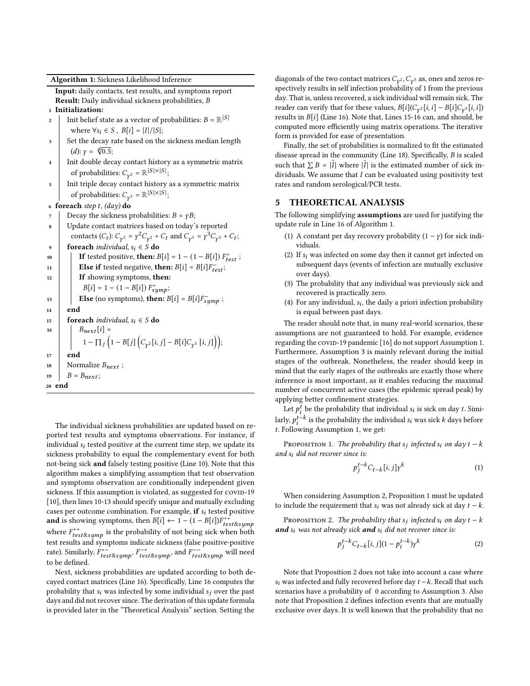Algorithm 1: Sickness Likelihood Inference

Input: daily contacts, test results, and symptoms report Result: Daily individual sickness probabilities, B

- <sup>1</sup> Initialization:
- 2 | Init belief state as a vector of probabilities:  $B = \mathbb{R}^{|S|}$ where  $\forall s_i \in S$ ,  $B[i] = |I|/|S|$ ;
- <span id="page-2-1"></span>3 Set the decay rate based on the sickness median length ct the decay 1<br>(d):  $y = \sqrt[4]{0.5}$ ;
- 4 Init double decay contact history as a symmetric matrix of probabilities:  $C_{\mathbf{v}^2} = \mathbb{R}^{|S| \times |S|}$ ;
- <sup>5</sup> Init triple decay contact history as a symmetric matrix of probabilities:  $C_{\gamma^3} = \mathbb{R}^{|S| \times |S|}$ ;
- 6 foreach step t,  $(day)$  do
- $7$  Decay the sickness probabilities:  $B = \gamma B$ ;
- <span id="page-2-6"></span><span id="page-2-5"></span><span id="page-2-4"></span>Update contact matrices based on today's reported contacts  $(C_t)$ :  $C_{\gamma^2} = \gamma^2 C_{\gamma^2} + C_t$  and  $C_{\gamma^3} = \gamma^3 C_{\gamma^3} + C_t$ ; 9 foreach individual,  $s_i \in S$  do 10 **If** tested positive, **then:**  $B[i] = 1 - (1 - B[i]) F_{test}^+$ ; 11 **Else if** tested negative, **then:**  $B[i] = B[i]F_{test}^{-}$ ; 12 **If showing symptoms, then:**  $B[i] = 1 - (1 - B[i]) F^{+}_{sumb};$ 13 **Else** (no symptoms), then:  $B[i] = B[i]F_{sumb}$ ; <sup>14</sup> end 15 **foreach** individual,  $s_i \in S$  do 16  $\bigg| \qquad \bigg| \qquad B_{\text{next}}[i] =$  $1 - \prod_j \left(1 - B[j] \left( C_{\gamma^2}[i,j] - B[i] C_{\gamma^3}[i,j] \right) \right);$ <sup>17</sup> end 18 Normalize  $B_{next}$ ; 19  $B = B_{next}$ ; <sup>20</sup> end

<span id="page-2-7"></span><span id="page-2-3"></span><span id="page-2-0"></span>The individual sickness probabilities are updated based on reported test results and symptoms observations. For instance, if individual  $s_i$  tested positive at the current time step, we update its sickness probability to equal the complementary event for both not-being sick and falsely testing positive (Line [10\)](#page-2-4). Note that this algorithm makes a simplifying assumption that test observation and symptoms observation are conditionally independent given sickness. If this assumption is violated, as suggested for COVID-19 [\[10\]](#page-7-3), then lines [10](#page-2-4)[-13](#page-2-5) should specify unique and mutually excluding cases per outcome combination. For example, if  $s_i$  tested positive and is showing symptoms, then  $B[i] \leftarrow 1 - (1 - B[i])F_{test \& sum}^+$ where  $F_{test\∑}^{++}$  is the probability of not being sick when both test results and symptoms indicate sickness (false positive-positive rate). Similarly,  $F_{test\∑}^{+-}$ ,  $F_{test\∑}^{+}$  and  $F_{test\∑}^{--}$  will need to be defined.

Next, sickness probabilities are updated according to both decayed contact matrices (Line [16\)](#page-2-3). Specifically, Line [16](#page-2-3) computes the probability that  $s_i$  was infected by some individual  $s_i$  over the past days and did not recover since. The derivation of this update formula is provided later in the "Theoretical Analysis" section. Setting the

diagonals of the two contact matrices  $C_{\mathbf{v}^2}$ ,  $C_{\mathbf{v}^3}$  as, ones and zeros respectively results in self infection probability of 1 from the previous day. That is, unless recovered, a sick individual will remain sick. The reader can verify that for these values,  $B[i](C_{\gamma^2}[i, i] - B[i]C_{\gamma^3}[i, i])$ results in  $B[i]$  (Line [16\)](#page-2-3). Note that, Lines [15-](#page-2-6)[16](#page-2-3) can, and should, be computed more efficiently using matrix operations. The iterative form is provided for ease of presentation.

Finally, the set of probabilities is normalized to fit the estimated disease spread in the community (Line [18\)](#page-2-7). Specifically,  $B$  is scaled such that  $\sum B = |\hat{I}|$  where  $|\hat{I}|$  is the estimated number of sick individuals. We assume that  $I$  can be evaluated using positivity test rates and random serological/PCR tests.

#### 5 THEORETICAL ANALYSIS

The following simplifying assumptions are used for justifying the update rule in Line [16](#page-2-3) of Algorithm [1.](#page-2-0)

- <span id="page-2-2"></span>(1) A constant per day recovery probability  $(1 - \gamma)$  for sick individuals.
- <span id="page-2-9"></span>(2) If  $s_i$  was infected on some day then it cannot get infected on subsequent days (events of infection are mutually exclusive over days).
- <span id="page-2-8"></span>(3) The probability that any individual was previously sick and recovered is practically zero.
- <span id="page-2-12"></span>(4) For any individual,  $s_i$ , the daily a priori infection probability is equal between past days.

The reader should note that, in many real-world scenarios, these assumptions are not guaranteed to hold. For example, evidence regarding the covin-19 pandemic [\[16\]](#page-7-8) do not support Assumption [1.](#page-2-2) Furthermore, Assumption [3](#page-2-8) is mainly relevant during the initial stages of the outbreak. Nonetheless, the reader should keep in mind that the early stages of the outbreaks are exactly those where inference is most important, as it enables reducing the maximal number of concurrent active cases (the epidemic spread peak) by applying better confinement strategies.

Let  $p_i^t$  be the probability that individual  $s_i$  is sick on day t. Similarly,  $p_i^{t-k}$  is the probability the individual  $s_i$  was sick  $k$  days before . Following Assumption [1,](#page-2-2) we get:

Proposition 1. The probability that  $s_i$  infected  $s_i$  on day  $t - k$ and  $s_i$  did not recover since is:

<span id="page-2-10"></span>
$$
p_j^{t-k}C_{t-k}[i,j] \gamma^k \tag{1}
$$

When considering Assumption [2,](#page-2-9) Proposition [1](#page-2-10) must be updated to include the requirement that  $s_i$  was not already sick at day  $t - k$ .

Proposition 2. The probability that  $s_j$  infected  $s_i$  on day  $t - k$ and  $s_i$  was not already sick and  $s_i$  did not recover since is:

<span id="page-2-11"></span>
$$
p_j^{t-k} C_{t-k}[i, j](1 - p_i^{t-k}) \gamma^k \tag{2}
$$

Note that Proposition [2](#page-2-11) does not take into account a case where  $s_i$  was infected and fully recovered before day  $t - k$ . Recall that such scenarios have a probability of 0 according to Assumption [3.](#page-2-8) Also note that Proposition [2](#page-2-11) defines infection events that are mutually exclusive over days. It is well known that the probability that no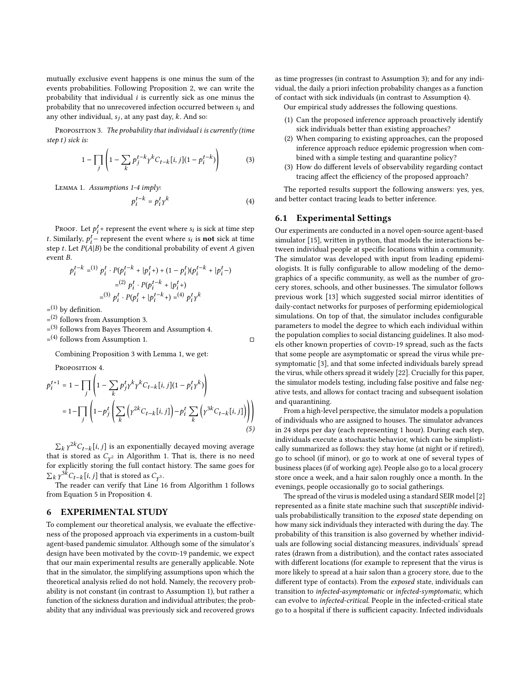mutually exclusive event happens is one minus the sum of the events probabilities. Following Proposition [2,](#page-2-11) we can write the probability that individual  $i$  is currently sick as one minus the probability that no unrecovered infection occurred between  $s_i$  and any other individual,  $s_i$ , at any past day, k. And so:

PROPOSITION 3. The probability that individual *i* is currently (time step  $t$ ) sick is:

<span id="page-3-0"></span>
$$
1 - \prod_{j} \left( 1 - \sum_{k} p_j^{t-k} \gamma^k C_{t-k} [i, j] (1 - p_i^{t-k}) \right) \tag{3}
$$

Lemma 1. Assumptions 1-4 imply:

<span id="page-3-1"></span>
$$
p_i^{t-k} = p_i^t \gamma^k \tag{4}
$$

Proof. Let  $p_i^t$  + represent the event where  $s_i$  is sick at time step t. Similarly,  $p_i^t$  – represent the event where  $s_i$  is **not** sick at time step t. Let  $P(A|B)$  be the conditional probability of event A given  $event R$ 

$$
p_i^{t-k} = ^{(1)} p_i^t \cdot P(p_i^{t-k} + |p_i^t+) + (1 - p_i^t)(p_i^{t-k} + |p_i^t-)
$$
  

$$
= ^{(2)} p_i^t \cdot P(p_i^{t-k} + |p_i^t+)
$$
  

$$
= ^{(3)} p_i^t \cdot P(p_i^t + |p_i^{t-k}+) = ^{(4)} p_i^t \gamma^k
$$

 $=$ <sup>(1)</sup> by definition.

 $=$ (2) follows from Assumption [3.](#page-2-8)

= (3) follows from Bayes Theorem and Assumption [4.](#page-2-12)

 $=$ <sup>(4)</sup> follows from Assumption [1.](#page-2-2) □

Combining Proposition [3](#page-3-0) with Lemma [1,](#page-3-1) we get:

<span id="page-3-2"></span>PROPOSITION 4.

$$
p_i^{t+1} = 1 - \prod_j \left( 1 - \sum_k p_j^t \gamma^k \gamma^k C_{t-k}[i, j](1 - p_i^t \gamma^k) \right)
$$
  
= 
$$
1 - \prod_j \left( 1 - p_j^t \left( \sum_k \left( \gamma^{2k} C_{t-k}[i, j] \right) - p_i^t \sum_k \left( \gamma^{3k} C_{t-k}[i, j] \right) \right) \right)
$$
  
(5)

 $\sum_{k} \gamma^{2k} C_{t-k}[i,j]$  is an exponentially decayed moving average that is stored as  $C_{\mathbf{v}^2}$  in Algorithm [1.](#page-2-0) That is, there is no need for explicitly storing the full contact history. The same goes for  $\sum_{k} \gamma^{3k} C_{t-k} [i, j]$  that is stored as  $C_{\gamma^3}$ .

The reader can verify that Line [16](#page-2-3) from Algorithm [1](#page-2-0) follows from Equation [5](#page-3-2) in Proposition [4.](#page-3-2)

#### 6 EXPERIMENTAL STUDY

To complement our theoretical analysis, we evaluate the effectiveness of the proposed approach via experiments in a custom-built agent-based pandemic simulator. Although some of the simulator's design have been motivated by the covID-19 pandemic, we expect that our main experimental results are generally applicable. Note that in the simulator, the simplifying assumptions upon which the theoretical analysis relied do not hold. Namely, the recovery probability is not constant (in contrast to Assumption [1\)](#page-2-2), but rather a function of the sickness duration and individual attributes; the probability that any individual was previously sick and recovered grows

as time progresses (in contrast to Assumption [3\)](#page-2-8); and for any individual, the daily a priori infection probability changes as a function of contact with sick individuals (in contrast to Assumption [4\)](#page-2-12). Our empirical study addresses the following questions.

- (1) Can the proposed inference approach proactively identify sick individuals better than existing approaches?
- (2) When comparing to existing approaches, can the proposed inference approach reduce epidemic progression when combined with a simple testing and quarantine policy?
- (3) How do different levels of observability regarding contact tracing affect the efficiency of the proposed approach?

The reported results support the following answers: yes, yes, and better contact tracing leads to better inference.

#### 6.1 Experimental Settings

Our experiments are conducted in a novel open-source agent-based simulator [\[15\]](#page-7-9), written in python, that models the interactions between individual people at specific locations within a community. The simulator was developed with input from leading epidemiologists. It is fully configurable to allow modeling of the demographics of a specific community, as well as the number of grocery stores, schools, and other businesses. The simulator follows previous work [\[13\]](#page-7-10) which suggested social mirror identities of daily-contact networks for purposes of performing epidemiological simulations. On top of that, the simulator includes configurable parameters to model the degree to which each individual within the population complies to social distancing guidelines. It also models other known properties of covid-19 spread, such as the facts that some people are asymptomatic or spread the virus while presymptomatic [\[3\]](#page-7-11), and that some infected individuals barely spread the virus, while others spread it widely [\[22\]](#page-8-6). Crucially for this paper, the simulator models testing, including false positive and false negative tests, and allows for contact tracing and subsequent isolation and quarantining.

From a high-level perspective, the simulator models a population of individuals who are assigned to houses. The simulator advances in 24 steps per day (each representing 1 hour). During each step, individuals execute a stochastic behavior, which can be simplistically summarized as follows: they stay home (at night or if retired), go to school (if minor), or go to work at one of several types of business places (if of working age). People also go to a local grocery store once a week, and a hair salon roughly once a month. In the evenings, people occasionally go to social gatherings.

The spread of the virus is modeled using a standard SEIR model [\[2\]](#page-7-12) represented as a finite state machine such that susceptible individuals probabilistically transition to the exposed state depending on how many sick individuals they interacted with during the day. The probability of this transition is also governed by whether individuals are following social distancing measures, individuals' spread rates (drawn from a distribution), and the contact rates associated with different locations (for example to represent that the virus is more likely to spread at a hair salon than a grocery store, due to the different type of contacts). From the exposed state, individuals can transition to infected-asymptomatic or infected-symptomatic, which can evolve to infected-critical. People in the infected-critical state go to a hospital if there is sufficient capacity. Infected individuals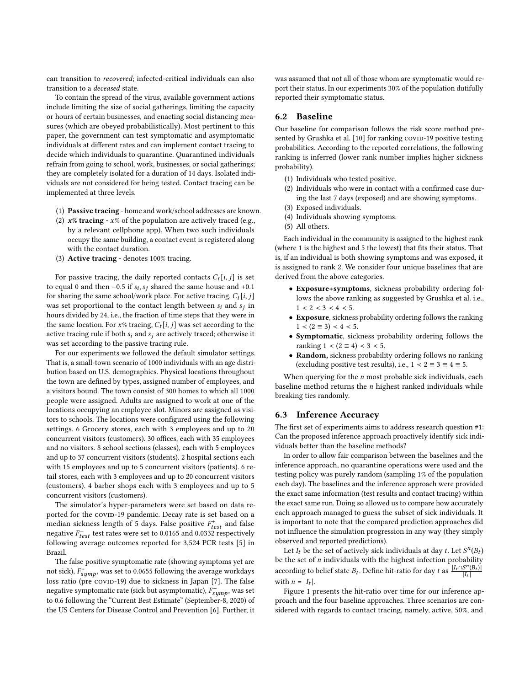can transition to recovered; infected-critical individuals can also transition to a deceased state.

To contain the spread of the virus, available government actions include limiting the size of social gatherings, limiting the capacity or hours of certain businesses, and enacting social distancing measures (which are obeyed probabilistically). Most pertinent to this paper, the government can test symptomatic and asymptomatic individuals at different rates and can implement contact tracing to decide which individuals to quarantine. Quarantined individuals refrain from going to school, work, businesses, or social gatherings; they are completely isolated for a duration of 14 days. Isolated individuals are not considered for being tested. Contact tracing can be implemented at three levels.

- (1) Passive tracing home and work/school addresses are known.
- (2)  $x\%$  tracing  $x\%$  of the population are actively traced (e.g., by a relevant cellphone app). When two such individuals occupy the same building, a contact event is registered along with the contact duration.
- (3) Active tracing denotes 100% tracing.

For passive tracing, the daily reported contacts  $C_t[i, j]$  is set to equal 0 and then +0.5 if  $s_i$ ,  $s_j$  shared the same house and +0.1 for sharing the same school/work place. For active tracing,  $C_t[i, j]$ was set proportional to the contact length between  $s_i$  and  $s_j$  in hours divided by 24, i.e., the fraction of time steps that they were in the same location. For  $x\%$  tracing,  $C_t[i, j]$  was set according to the active tracing rule if both  $s_i$  and  $s_j$  are actively traced; otherwise it was set according to the passive tracing rule.

For our experiments we followed the default simulator settings. That is, a small-town scenario of 1000 individuals with an age distribution based on U.S. demographics. Physical locations throughout the town are defined by types, assigned number of employees, and a visitors bound. The town consist of 300 homes to which all 1000 people were assigned. Adults are assigned to work at one of the locations occupying an employee slot. Minors are assigned as visitors to schools. The locations were configured using the following settings. 6 Grocery stores, each with 3 employees and up to 20 concurrent visitors (customers). 30 offices, each with 35 employees and no visitors. 8 school sections (classes), each with 5 employees and up to 37 concurrent visitors (students). 2 hospital sections each with 15 employees and up to 5 concurrent visitors (patients). 6 retail stores, each with 3 employees and up to 20 concurrent visitors (customers). 4 barber shops each with 3 employees and up to 5 concurrent visitors (customers).

The simulator's hyper-parameters were set based on data reported for the covin-19 pandemic. Decay rate is set based on a median sickness length of 5 days. False positive  $F_{test}^+$  and false negative  $F_{test}^-$  test rates were set to 0.0165 and 0.0332 respectively following average outcomes reported for 3,524 PCR tests [\[5\]](#page-7-13) in Brazil.

The false positive symptomatic rate (showing symptoms yet are not sick),  $F_{sump}$ , was set to 0.0655 following the average workdays loss ratio (pre covin-19) due to sickness in Japan [\[7\]](#page-7-14). The false negative symptomatic rate (sick but asymptomatic),  $F_{sump}$ , was set to 0.6 following the "Current Best Estimate" (September-8, 2020) of the US Centers for Disease Control and Prevention [\[6\]](#page-7-15). Further, it was assumed that not all of those whom are symptomatic would report their status. In our experiments 30% of the population dutifully reported their symptomatic status.

#### 6.2 Baseline

Our baseline for comparison follows the risk score method pre-sented by Grushka et al. [\[10\]](#page-7-3) for ranking covin-19 positive testing probabilities. According to the reported correlations, the following ranking is inferred (lower rank number implies higher sickness probability).

- (1) Individuals who tested positive.
- (2) Individuals who were in contact with a confirmed case during the last 7 days (exposed) and are showing symptoms.
- (3) Exposed individuals.
- (4) Individuals showing symptoms.
- (5) All others.

Each individual in the community is assigned to the highest rank (where 1 is the highest and 5 the lowest) that fits their status. That is, if an individual is both showing symptoms and was exposed, it is assigned to rank 2. We consider four unique baselines that are derived from the above categories.

- Exposure+symptoms, sickness probability ordering follows the above ranking as suggested by Grushka et al. i.e.,  $1 < 2 < 3 < 4 < 5$ .
- Exposure, sickness probability ordering follows the ranking  $1 \prec (2 \equiv 3) \prec 4 \prec 5$ .
- Symptomatic, sickness probability ordering follows the ranking  $1 \lt (2 \equiv 4) \lt 3 \lt 5$ .
- Random, sickness probability ordering follows no ranking (excluding positive test results), i.e.,  $1 \leq 2 \equiv 3 \equiv 4 \equiv 5$ .

When querying for the  $n$  most probable sick individuals, each baseline method returns the  $n$  highest ranked individuals while breaking ties randomly.

### 6.3 Inference Accuracy

The first set of experiments aims to address research question #1: Can the proposed inference approach proactively identify sick individuals better than the baseline methods?

In order to allow fair comparison between the baselines and the inference approach, no quarantine operations were used and the testing policy was purely random (sampling 1% of the population each day). The baselines and the inference approach were provided the exact same information (test results and contact tracing) within the exact same run. Doing so allowed us to compare how accurately each approach managed to guess the subset of sick individuals. It is important to note that the compared prediction approaches did not influence the simulation progression in any way (they simply observed and reported predictions).

Let  $I_t$  be the set of actively sick individuals at day t. Let  $S^n(B_t)$ be the set of  $n$  individuals with the highest infection probability according to belief state  $B_t$ . Define hit-ratio for day t as  $\frac{|I_t \cap S^n(B_t)|}{|I_t|}$  $|I_t|$ with  $n = |I_t|$ .

Figure [1](#page-5-0) presents the hit-ratio over time for our inference approach and the four baseline approaches. Three scenarios are considered with regards to contact tracing, namely, active, 50%, and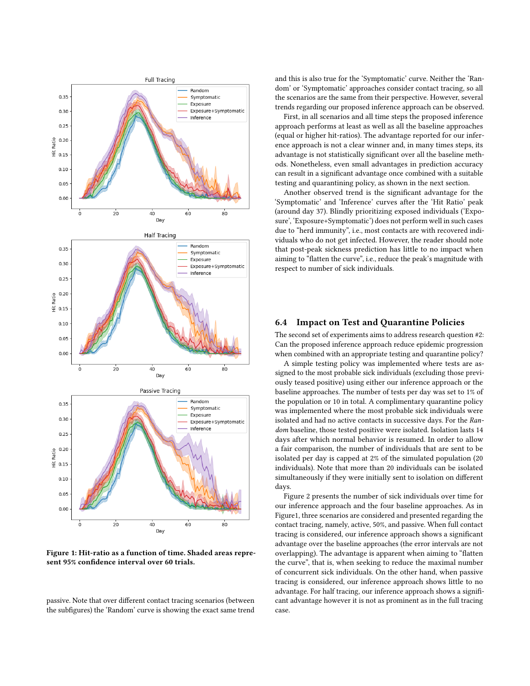<span id="page-5-0"></span>

Figure 1: Hit-ratio as a function of time. Shaded areas represent 95% confidence interval over 60 trials.

passive. Note that over different contact tracing scenarios (between the subfigures) the 'Random' curve is showing the exact same trend and this is also true for the 'Symptomatic' curve. Neither the 'Random' or 'Symptomatic' approaches consider contact tracing, so all the scenarios are the same from their perspective. However, several trends regarding our proposed inference approach can be observed.

First, in all scenarios and all time steps the proposed inference approach performs at least as well as all the baseline approaches (equal or higher hit-ratios). The advantage reported for our inference approach is not a clear winner and, in many times steps, its advantage is not statistically significant over all the baseline methods. Nonetheless, even small advantages in prediction accuracy can result in a significant advantage once combined with a suitable testing and quarantining policy, as shown in the next section.

Another observed trend is the significant advantage for the 'Symptomatic' and 'Inference' curves after the 'Hit Ratio' peak (around day 37). Blindly prioritizing exposed individuals ('Exposure', 'Exposure+Symptomatic') does not perform well in such cases due to "herd immunity", i.e., most contacts are with recovered individuals who do not get infected. However, the reader should note that post-peak sickness prediction has little to no impact when aiming to "flatten the curve", i.e., reduce the peak's magnitude with respect to number of sick individuals.

#### 6.4 Impact on Test and Quarantine Policies

The second set of experiments aims to address research question #2: Can the proposed inference approach reduce epidemic progression when combined with an appropriate testing and quarantine policy?

A simple testing policy was implemented where tests are assigned to the most probable sick individuals (excluding those previously teased positive) using either our inference approach or the baseline approaches. The number of tests per day was set to 1% of the population or 10 in total. A complimentary quarantine policy was implemented where the most probable sick individuals were isolated and had no active contacts in successive days. For the Random baseline, those tested positive were isolated. Isolation lasts 14 days after which normal behavior is resumed. In order to allow a fair comparison, the number of individuals that are sent to be isolated per day is capped at 2% of the simulated population (20 individuals). Note that more than 20 individuals can be isolated simultaneously if they were initially sent to isolation on different days.

Figure [2](#page-6-0) presents the number of sick individuals over time for our inference approach and the four baseline approaches. As in Figur[e1,](#page-5-0) three scenarios are considered and presented regarding the contact tracing, namely, active, 50%, and passive. When full contact tracing is considered, our inference approach shows a significant advantage over the baseline approaches (the error intervals are not overlapping). The advantage is apparent when aiming to "flatten the curve", that is, when seeking to reduce the maximal number of concurrent sick individuals. On the other hand, when passive tracing is considered, our inference approach shows little to no advantage. For half tracing, our inference approach shows a significant advantage however it is not as prominent as in the full tracing case.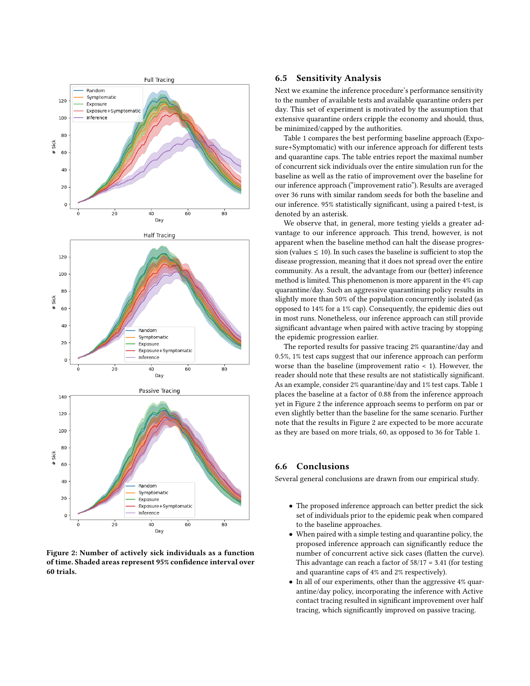<span id="page-6-0"></span>

Figure 2: Number of actively sick individuals as a function of time. Shaded areas represent 95% confidence interval over 60 trials.

#### 6.5 Sensitivity Analysis

Next we examine the inference procedure's performance sensitivity to the number of available tests and available quarantine orders per day. This set of experiment is motivated by the assumption that extensive quarantine orders cripple the economy and should, thus, be minimized/capped by the authorities.

Table [1](#page-7-16) compares the best performing baseline approach (Exposure+Symptomatic) with our inference approach for different tests and quarantine caps. The table entries report the maximal number of concurrent sick individuals over the entire simulation run for the baseline as well as the ratio of improvement over the baseline for our inference approach ("improvement ratio"). Results are averaged over 36 runs with similar random seeds for both the baseline and our inference. 95% statistically significant, using a paired t-test, is denoted by an asterisk.

We observe that, in general, more testing yields a greater advantage to our inference approach. This trend, however, is not apparent when the baseline method can halt the disease progression (values  $\leq 10$ ). In such cases the baseline is sufficient to stop the disease progression, meaning that it does not spread over the entire community. As a result, the advantage from our (better) inference method is limited. This phenomenon is more apparent in the 4% cap quarantine/day. Such an aggressive quarantining policy results in slightly more than 50% of the population concurrently isolated (as opposed to 14% for a 1% cap). Consequently, the epidemic dies out in most runs. Nonetheless, our inference approach can still provide significant advantage when paired with active tracing by stopping the epidemic progression earlier.

The reported results for passive tracing 2% quarantine/day and 0.5%, 1% test caps suggest that our inference approach can perform worse than the baseline (improvement ratio < 1). However, the reader should note that these results are not statistically significant. As an example, consider 2% quarantine/day and 1% test caps. Table [1](#page-7-16) places the baseline at a factor of 0.88 from the inference approach yet in Figure [2](#page-6-0) the inference approach seems to perform on par or even slightly better than the baseline for the same scenario. Further note that the results in Figure [2](#page-6-0) are expected to be more accurate as they are based on more trials, 60, as opposed to 36 for Table [1.](#page-7-16)

## 6.6 Conclusions

Several general conclusions are drawn from our empirical study.

- The proposed inference approach can better predict the sick set of individuals prior to the epidemic peak when compared to the baseline approaches.
- When paired with a simple testing and quarantine policy, the proposed inference approach can significantly reduce the number of concurrent active sick cases (flatten the curve). This advantage can reach a factor of  $58/17 = 3.41$  (for testing and quarantine caps of 4% and 2% respectively).
- In all of our experiments, other than the aggressive 4% quarantine/day policy, incorporating the inference with Active contact tracing resulted in significant improvement over half tracing, which significantly improved on passive tracing.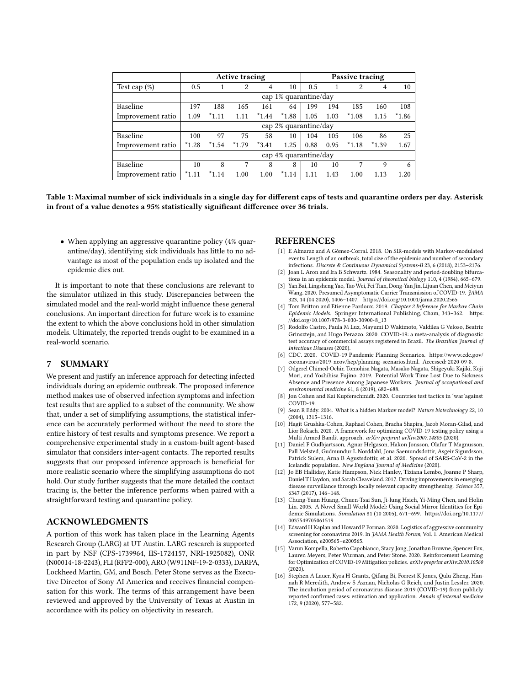<span id="page-7-16"></span>

|                   | <b>Active tracing</b> |         |         |         |         | Passive tracing |      |         |         |         |
|-------------------|-----------------------|---------|---------|---------|---------|-----------------|------|---------|---------|---------|
| Test cap $(\%)$   | 0.5                   |         | 2       | 4       | 10      | 0.5             |      | 2       | 4       | 10      |
|                   | cap 1% quarantine/day |         |         |         |         |                 |      |         |         |         |
| Baseline          | 197                   | 188     | 165     | 161     | 64      | 199             | 194  | 185     | 160     | 108     |
| Improvement ratio | 1.09                  | $*1.11$ | 1.11    | $*1.44$ | $*1.88$ | 1.05            | 1.03 | $*1.08$ | 1.15    | $*1.86$ |
|                   | cap 2% quarantine/day |         |         |         |         |                 |      |         |         |         |
| Baseline          | 100                   | 97      | 75      | 58      | 10      | 104             | 105  | 106     | 86      | 25      |
| Improvement ratio | $*1.28$               | $*1.54$ | $*1.79$ | $*3.41$ | 1.25    | 0.88            | 0.95 | $*1.18$ | $*1.39$ | 1.67    |
|                   | cap 4% quarantine/day |         |         |         |         |                 |      |         |         |         |
| Baseline          | 10                    | 8       | 7       | 8       | 8       | 10              | 10   | 7       | 9       | 6       |
| Improvement ratio | $*1.11$               | $*1.14$ | 1.00    | 1.00    | $*1.14$ | 1.11            | 1.43 | 1.00    | 1.13    | 1.20    |

Table 1: Maximal number of sick individuals in a single day for different caps of tests and quarantine orders per day. Asterisk in front of a value denotes a 95% statistically significant difference over 36 trials.

• When applying an aggressive quarantine policy (4% quarantine/day), identifying sick individuals has little to no advantage as most of the population ends up isolated and the epidemic dies out.

It is important to note that these conclusions are relevant to the simulator utilized in this study. Discrepancies between the simulated model and the real-world might influence these general conclusions. An important direction for future work is to examine the extent to which the above conclusions hold in other simulation models. Ultimately, the reported trends ought to be examined in a real-world scenario.

### 7 SUMMARY

We present and justify an inference approach for detecting infected individuals during an epidemic outbreak. The proposed inference method makes use of observed infection symptoms and infection test results that are applied to a subset of the community. We show that, under a set of simplifying assumptions, the statistical inference can be accurately performed without the need to store the entire history of test results and symptoms presence. We report a comprehensive experimental study in a custom-built agent-based simulator that considers inter-agent contacts. The reported results suggests that our proposed inference approach is beneficial for more realistic scenario where the simplifying assumptions do not hold. Our study further suggests that the more detailed the contact tracing is, the better the inference performs when paired with a straightforward testing and quarantine policy.

#### ACKNOWLEDGMENTS

A portion of this work has taken place in the Learning Agents Research Group (LARG) at UT Austin. LARG research is supported in part by NSF (CPS-1739964, IIS-1724157, NRI-1925082), ONR (N00014-18-2243), FLI (RFP2-000), ARO (W911NF-19-2-0333), DARPA, Lockheed Martin, GM, and Bosch. Peter Stone serves as the Executive Director of Sony AI America and receives financial compensation for this work. The terms of this arrangement have been reviewed and approved by the University of Texas at Austin in accordance with its policy on objectivity in research.

#### REFERENCES

- <span id="page-7-6"></span>[1] E Almaraz and A Gómez-Corral. 2018. On SIR-models with Markov-modulated events: Length of an outbreak, total size of the epidemic and number of secondary infections. Discrete & Continuous Dynamical Systems-B 23, 6 (2018), 2153–2176.
- <span id="page-7-12"></span>[2] Joan L Aron and Ira B Schwartz. 1984. Seasonality and period-doubling bifurcations in an epidemic model. Journal of theoretical biology 110, 4 (1984), 665–679.
- <span id="page-7-11"></span>[3] Yan Bai, Lingsheng Yao, Tao Wei, Fei Tian, Dong-Yan Jin, Lijuan Chen, and Meiyun Wang. 2020. Presumed Asymptomatic Carrier Transmission of COVID-19. JAMA 323, 14 (04 2020), 1406–1407.<https://doi.org/10.1001/jama.2020.2565>
- <span id="page-7-7"></span>[4] Tom Britton and Etienne Pardoux. 2019. Chapter 2 Inference for Markov Chain Epidemic Models. Springer International Publishing, Cham, 343–362. [https:](https://doi.org/10.1007/978-3-030-30900-8_13) [//doi.org/10.1007/978-3-030-30900-8\\_13](https://doi.org/10.1007/978-3-030-30900-8_13)
- <span id="page-7-13"></span>[5] Rodolfo Castro, Paula M Luz, Mayumi D Wakimoto, Valdilea G Veloso, Beatriz Grinsztejn, and Hugo Perazzo. 2020. COVID-19: a meta-analysis of diagnostic test accuracy of commercial assays registered in Brazil. The Brazilian Journal of Infectious Diseases (2020).
- <span id="page-7-15"></span>[6] CDC. 2020. COVID-19 Pandemic Planning Scenarios. [https://www.cdc.gov/](https://www.cdc.gov/coronavirus/2019-ncov/hcp/planning-scenarios.html) [coronavirus/2019-ncov/hcp/planning-scenarios.html.](https://www.cdc.gov/coronavirus/2019-ncov/hcp/planning-scenarios.html) Accessed: 2020-09-8.
- <span id="page-7-14"></span>[7] Odgerel Chimed-Ochir, Tomohisa Nagata, Masako Nagata, Shigeyuki Kajiki, Koji Mori, and Yoshihisa Fujino. 2019. Potential Work Time Lost Due to Sickness Absence and Presence Among Japanese Workers. Journal of occupational and environmental medicine 61, 8 (2019), 682–688.
- <span id="page-7-1"></span>[8] Jon Cohen and Kai Kupferschmidt. 2020. Countries test tactics in 'war'against COVID-19.
- <span id="page-7-4"></span>[9] Sean R Eddy. 2004. What is a hidden Markov model? Nature biotechnology 22, 10 (2004), 1315–1316.
- <span id="page-7-3"></span>[10] Hagit Grushka-Cohen, Raphael Cohen, Bracha Shapira, Jacob Moran-Gilad, and Lior Rokach. 2020. A framework for optimizing COVID-19 testing policy using a Multi Armed Bandit approach. arXiv preprint arXiv:2007.14805 (2020).
- <span id="page-7-5"></span>[11] Daniel F Gudbjartsson, Agnar Helgason, Hakon Jonsson, Olafur T Magnusson, Pall Melsted, Gudmundur L Norddahl, Jona Saemundsdottir, Asgeir Sigurdsson, Patrick Sulem, Arna B Agustsdottir, et al. 2020. Spread of SARS-CoV-2 in the Icelandic population. New England Journal of Medicine (2020).
- <span id="page-7-0"></span>[12] Jo EB Halliday, Katie Hampson, Nick Hanley, Tiziana Lembo, Joanne P Sharp, Daniel T Haydon, and Sarah Cleaveland. 2017. Driving improvements in emerging disease surveillance through locally relevant capacity strengthening. Science 357, 6347 (2017), 146–148.
- <span id="page-7-10"></span>[13] Chung-Yuan Huang, Chuen-Tsai Sun, Ji-lung Hsieh, Yi-Ming Chen, and Holin Lin. 2005. A Novel Small-World Model: Using Social Mirror Identities for Epidemic Simulations. Simulation 81 (10 2005), 671–699. [https://doi.org/10.1177/](https://doi.org/10.1177/0037549705061519) [0037549705061519](https://doi.org/10.1177/0037549705061519)
- <span id="page-7-2"></span>[14] Edward H Kaplan and Howard P Forman. 2020. Logistics of aggressive community screening for coronavirus 2019. In JAMA Health Forum, Vol. 1. American Medical Association, e200565–e200565.
- <span id="page-7-9"></span>[15] Varun Kompella, Roberto Capobianco, Stacy Jong, Jonathan Browne, Spencer Fox, Lauren Meyers, Peter Wurman, and Peter Stone. 2020. Reinforcement Learning for Optimization of COVID-19 Mitigation policies. arXiv preprint arXiv:2010.10560 (2020).
- <span id="page-7-8"></span>[16] Stephen A Lauer, Kyra H Grantz, Qifang Bi, Forrest K Jones, Qulu Zheng, Hannah R Meredith, Andrew S Azman, Nicholas G Reich, and Justin Lessler. 2020. The incubation period of coronavirus disease 2019 (COVID-19) from publicly reported confirmed cases: estimation and application. Annals of internal medicine 172, 9 (2020), 577–582.